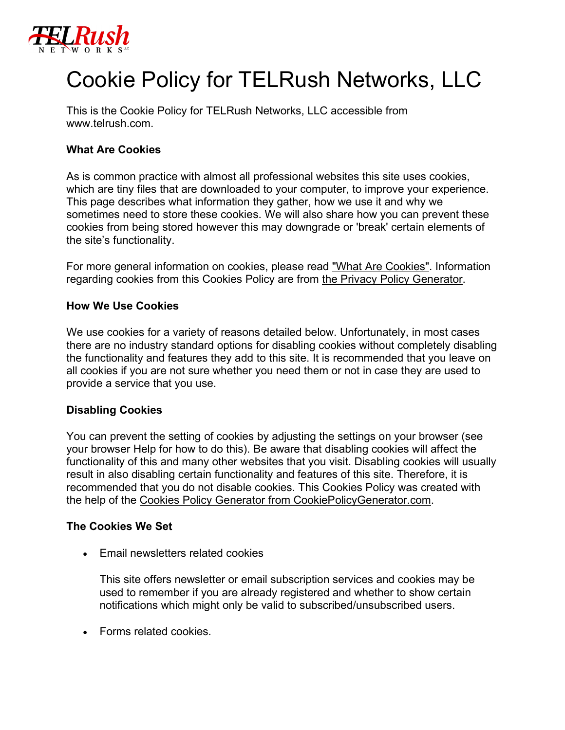

# Cookie Policy for TELRush Networks, LLC

This is the Cookie Policy for TELRush Networks, LLC accessible from www.telrush.com.

## **What Are Cookies**

As is common practice with almost all professional websites this site uses cookies, which are tiny files that are downloaded to your computer, to improve your experience. This page describes what information they gather, how we use it and why we sometimes need to store these cookies. We will also share how you can prevent these cookies from being stored however this may downgrade or 'break' certain elements of the site's functionality.

For more general information on cookies, please read ["What Are Cookies".](https://www.cookieconsent.com/what-are-cookies/) Information regarding cookies from this Cookies Policy are from [the Privacy Policy Generator.](https://www.generateprivacypolicy.com/)

#### **How We Use Cookies**

We use cookies for a variety of reasons detailed below. Unfortunately, in most cases there are no industry standard options for disabling cookies without completely disabling the functionality and features they add to this site. It is recommended that you leave on all cookies if you are not sure whether you need them or not in case they are used to provide a service that you use.

#### **Disabling Cookies**

You can prevent the setting of cookies by adjusting the settings on your browser (see your browser Help for how to do this). Be aware that disabling cookies will affect the functionality of this and many other websites that you visit. Disabling cookies will usually result in also disabling certain functionality and features of this site. Therefore, it is recommended that you do not disable cookies. This Cookies Policy was created with the help of the [Cookies Policy Generator from CookiePolicyGenerator.com.](https://www.cookiepolicygenerator.com/cookie-policy-generator/)

#### **The Cookies We Set**

• Email newsletters related cookies

This site offers newsletter or email subscription services and cookies may be used to remember if you are already registered and whether to show certain notifications which might only be valid to subscribed/unsubscribed users.

• Forms related cookies.